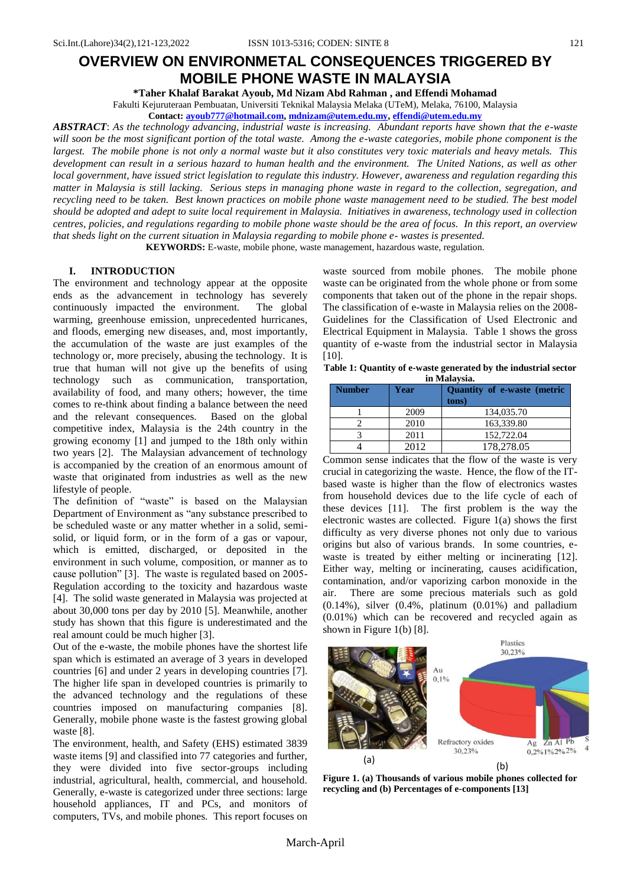# **OVERVIEW ON ENVIRONMETAL CONSEQUENCES TRIGGERED BY MOBILE PHONE WASTE IN MALAYSIA**

**\*Taher Khalaf Barakat Ayoub, Md Nizam Abd Rahman , and Effendi Mohamad** Fakulti Kejuruteraan Pembuatan, Universiti Teknikal Malaysia Melaka (UTeM), Melaka, 76100, Malaysia

**Contact[: ayoub777@hotmail.com,](mailto:ayoub777@hotmail.com) [mdnizam@utem.edu.my,](mailto:mdnizam@utem.edu.my) [effendi@utem.edu.my](mailto:effendi@utem.edu.my)**

*ABSTRACT*: *As the technology advancing, industrial waste is increasing. Abundant reports have shown that the e-waste will soon be the most significant portion of the total waste. Among the e-waste categories, mobile phone component is the largest. The mobile phone is not only a normal waste but it also constitutes very toxic materials and heavy metals. This development can result in a serious hazard to human health and the environment. The United Nations, as well as other local government, have issued strict legislation to regulate this industry. However, awareness and regulation regarding this matter in Malaysia is still lacking. Serious steps in managing phone waste in regard to the collection, segregation, and recycling need to be taken. Best known practices on mobile phone waste management need to be studied. The best model should be adopted and adept to suite local requirement in Malaysia. Initiatives in awareness, technology used in collection centres, policies, and regulations regarding to mobile phone waste should be the area of focus. In this report, an overview that sheds light on the current situation in Malaysia regarding to mobile phone e- wastes is presented.* 

**KEYWORDS:** E-waste, mobile phone, waste management, hazardous waste, regulation.

## **I. INTRODUCTION**

The environment and technology appear at the opposite ends as the advancement in technology has severely continuously impacted the environment. The global warming, greenhouse emission, unprecedented hurricanes, and floods, emerging new diseases, and, most importantly, the accumulation of the waste are just examples of the technology or, more precisely, abusing the technology. It is true that human will not give up the benefits of using technology such as communication, transportation, availability of food, and many others; however, the time comes to re-think about finding a balance between the need and the relevant consequences. Based on the global competitive index, Malaysia is the 24th country in the growing economy [1] and jumped to the 18th only within two years [2]. The Malaysian advancement of technology is accompanied by the creation of an enormous amount of waste that originated from industries as well as the new lifestyle of people.

The definition of "waste" is based on the Malaysian Department of Environment as "any substance prescribed to be scheduled waste or any matter whether in a solid, semisolid, or liquid form, or in the form of a gas or vapour, which is emitted, discharged, or deposited in the environment in such volume, composition, or manner as to cause pollution" [3]. The waste is regulated based on 2005-Regulation according to the toxicity and hazardous waste [4]. The solid waste generated in Malaysia was projected at about 30,000 tons per day by 2010 [5]. Meanwhile, another study has shown that this figure is underestimated and the real amount could be much higher [3].

Out of the e-waste, the mobile phones have the shortest life span which is estimated an average of 3 years in developed countries [6] and under 2 years in developing countries [7]. The higher life span in developed countries is primarily to the advanced technology and the regulations of these countries imposed on manufacturing companies [8]. Generally, mobile phone waste is the fastest growing global waste [8].

The environment, health, and Safety (EHS) estimated 3839 waste items [9] and classified into 77 categories and further, they were divided into five sector-groups including industrial, agricultural, health, commercial, and household. Generally, e-waste is categorized under three sections: large household appliances, IT and PCs, and monitors of computers, TVs, and mobile phones. This report focuses on

waste sourced from mobile phones. The mobile phone waste can be originated from the whole phone or from some components that taken out of the phone in the repair shops. The classification of e-waste in Malaysia relies on the 2008- Guidelines for the Classification of Used Electronic and Electrical Equipment in Malaysia. Table 1 shows the gross quantity of e-waste from the industrial sector in Malaysia [10].

**Table 1: Quantity of e-waste generated by the industrial sector in Malaysia.**

| <b>Number</b> | <b>TTT TATTERY &amp; ATTRACTMENT</b><br>Year | Quantity of e-waste (metric<br>tons) |
|---------------|----------------------------------------------|--------------------------------------|
|               | 2009                                         | 134,035.70                           |
|               | 2010                                         | 163,339.80                           |
|               | 2011                                         | 152,722.04                           |
|               | 2012                                         | 178,278.05                           |

Common sense indicates that the flow of the waste is very crucial in categorizing the waste. Hence, the flow of the ITbased waste is higher than the flow of electronics wastes from household devices due to the life cycle of each of these devices [11]. The first problem is the way the electronic wastes are collected. Figure 1(a) shows the first difficulty as very diverse phones not only due to various origins but also of various brands. In some countries, ewaste is treated by either melting or incinerating [12]. Either way, melting or incinerating, causes acidification, contamination, and/or vaporizing carbon monoxide in the air. There are some precious materials such as gold (0.14%), silver (0.4%, platinum (0.01%) and palladium (0.01%) which can be recovered and recycled again as shown in Figure 1(b) [8].



**Figure 1. (a) Thousands of various mobile phones collected for recycling and (b) Percentages of e-components [13]**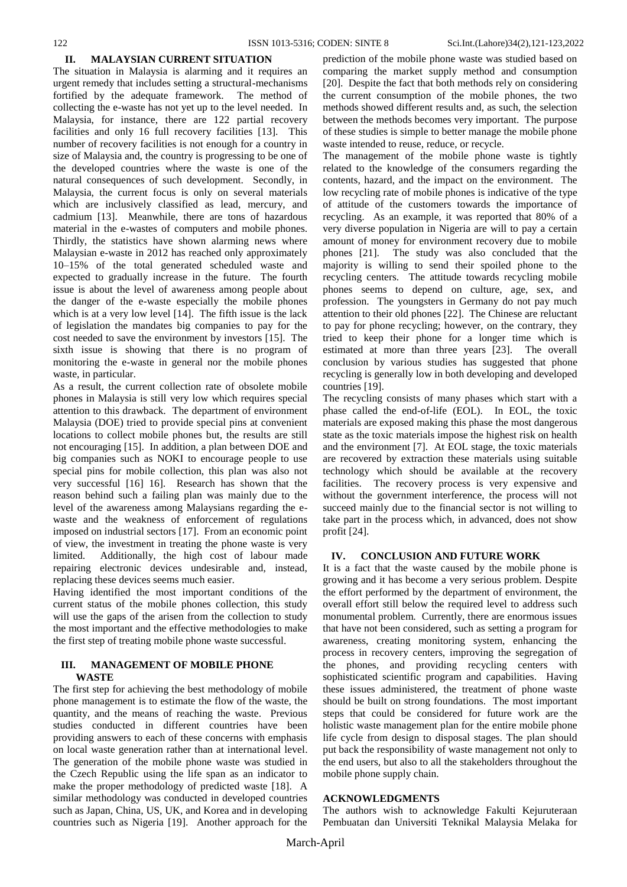#### **II. MALAYSIAN CURRENT SITUATION**

The situation in Malaysia is alarming and it requires an urgent remedy that includes setting a structural-mechanisms fortified by the adequate framework. The method of collecting the e-waste has not yet up to the level needed. In Malaysia, for instance, there are 122 partial recovery facilities and only 16 full recovery facilities [13]. This number of recovery facilities is not enough for a country in size of Malaysia and, the country is progressing to be one of the developed countries where the waste is one of the natural consequences of such development. Secondly, in Malaysia, the current focus is only on several materials which are inclusively classified as lead, mercury, and cadmium [13]. Meanwhile, there are tons of hazardous material in the e-wastes of computers and mobile phones. Thirdly, the statistics have shown alarming news where Malaysian e-waste in 2012 has reached only approximately 10–15% of the total generated scheduled waste and expected to gradually increase in the future. The fourth issue is about the level of awareness among people about the danger of the e-waste especially the mobile phones which is at a very low level [14]. The fifth issue is the lack of legislation the mandates big companies to pay for the cost needed to save the environment by investors [15]. The sixth issue is showing that there is no program of monitoring the e-waste in general nor the mobile phones waste, in particular.

As a result, the current collection rate of obsolete mobile phones in Malaysia is still very low which requires special attention to this drawback. The department of environment Malaysia (DOE) tried to provide special pins at convenient locations to collect mobile phones but, the results are still not encouraging [15]. In addition, a plan between DOE and big companies such as NOKI to encourage people to use special pins for mobile collection, this plan was also not very successful [16] 16]. Research has shown that the reason behind such a failing plan was mainly due to the level of the awareness among Malaysians regarding the ewaste and the weakness of enforcement of regulations imposed on industrial sectors [17]. From an economic point of view, the investment in treating the phone waste is very limited. Additionally, the high cost of labour made repairing electronic devices undesirable and, instead, replacing these devices seems much easier.

Having identified the most important conditions of the current status of the mobile phones collection, this study will use the gaps of the arisen from the collection to study the most important and the effective methodologies to make the first step of treating mobile phone waste successful.

## **III. MANAGEMENT OF MOBILE PHONE WASTE**

The first step for achieving the best methodology of mobile phone management is to estimate the flow of the waste, the quantity, and the means of reaching the waste. Previous studies conducted in different countries have been providing answers to each of these concerns with emphasis on local waste generation rather than at international level. The generation of the mobile phone waste was studied in the Czech Republic using the life span as an indicator to make the proper methodology of predicted waste [18]. A similar methodology was conducted in developed countries such as Japan, China, US, UK, and Korea and in developing countries such as Nigeria [19]. Another approach for the

prediction of the mobile phone waste was studied based on comparing the market supply method and consumption [20]. Despite the fact that both methods rely on considering the current consumption of the mobile phones, the two methods showed different results and, as such, the selection between the methods becomes very important. The purpose of these studies is simple to better manage the mobile phone waste intended to reuse, reduce, or recycle.

The management of the mobile phone waste is tightly related to the knowledge of the consumers regarding the contents, hazard, and the impact on the environment. The low recycling rate of mobile phones is indicative of the type of attitude of the customers towards the importance of recycling. As an example, it was reported that 80% of a very diverse population in Nigeria are will to pay a certain amount of money for environment recovery due to mobile phones [21]. The study was also concluded that the majority is willing to send their spoiled phone to the recycling centers. The attitude towards recycling mobile phones seems to depend on culture, age, sex, and profession. The youngsters in Germany do not pay much attention to their old phones [22]. The Chinese are reluctant to pay for phone recycling; however, on the contrary, they tried to keep their phone for a longer time which is estimated at more than three years [23]. The overall conclusion by various studies has suggested that phone recycling is generally low in both developing and developed countries [19].

The recycling consists of many phases which start with a phase called the end-of-life (EOL). In EOL, the toxic materials are exposed making this phase the most dangerous state as the toxic materials impose the highest risk on health and the environment [7]. At EOL stage, the toxic materials are recovered by extraction these materials using suitable technology which should be available at the recovery facilities. The recovery process is very expensive and without the government interference, the process will not succeed mainly due to the financial sector is not willing to take part in the process which, in advanced, does not show profit [24].

### **IV. CONCLUSION AND FUTURE WORK**

It is a fact that the waste caused by the mobile phone is growing and it has become a very serious problem. Despite the effort performed by the department of environment, the overall effort still below the required level to address such monumental problem. Currently, there are enormous issues that have not been considered, such as setting a program for awareness, creating monitoring system, enhancing the process in recovery centers, improving the segregation of the phones, and providing recycling centers with sophisticated scientific program and capabilities. Having these issues administered, the treatment of phone waste should be built on strong foundations. The most important steps that could be considered for future work are the holistic waste management plan for the entire mobile phone life cycle from design to disposal stages. The plan should put back the responsibility of waste management not only to the end users, but also to all the stakeholders throughout the mobile phone supply chain.

#### **ACKNOWLEDGMENTS**

The authors wish to acknowledge Fakulti Kejuruteraan Pembuatan dan Universiti Teknikal Malaysia Melaka for